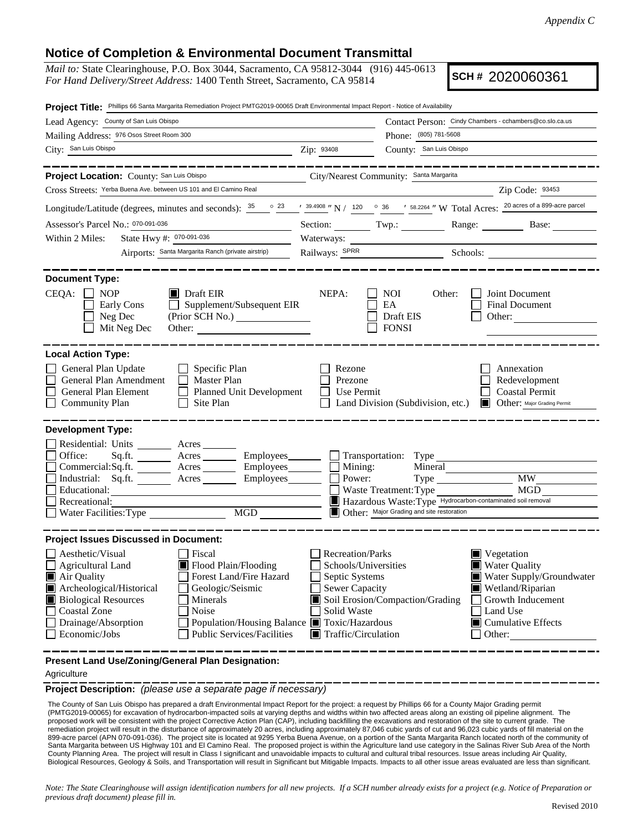## **Notice of Completion & Environmental Document Transmittal**

*Mail to:* State Clearinghouse, P.O. Box 3044, Sacramento, CA 95812-3044 (916) 445-0613 *For Hand Delivery/Street Address:* 1400 Tenth Street, Sacramento, CA 95814

**SCH #** 2020060361

| Contact Person: Cindy Chambers - cchambers@co.slo.ca.us<br>Lead Agency: County of San Luis Obispo<br>Mailing Address: 976 Osos Street Room 300<br>Phone: (805) 781-5608<br>City: San Luis Obispo<br>Zip: 93408<br>County: San Luis Obispo<br><u> 1989 - Jan Samuel Barbara, poeta poeta poeta poeta poeta poeta poeta poeta poeta poeta poeta poeta poeta poe</u><br>________<br>City/Nearest Community: Santa Margarita<br>Project Location: County: San Luis Obispo<br>Cross Streets: Yerba Buena Ave. between US 101 and El Camino Real<br>Zip Code: 93453<br>Longitude/Latitude (degrees, minutes and seconds): $\frac{35}{2}$ $\frac{23}{2}$ $\frac{1}{2}$ $\frac{39.4908}{2}$ N / $\frac{120}{2}$ $\frac{36}{2}$ $\frac{1}{2}$ $\frac{58.2264}{2}$ N Total Acres: $\frac{20 \text{ acres of a 899-acre parcel}}{20 \text{ acres of a 899-acre parcel}}$<br>Assessor's Parcel No.: 070-091-036<br>Section: Twp.: Twp.: Range: Base: Base:<br>State Hwy #: 070-091-036<br>Within 2 Miles:<br>Airports: Santa Margarita Ranch (private airstrip)<br><b>Document Type:</b><br>$CEQA: \Box NP$<br>NEPA:<br>$\blacksquare$ Draft EIR<br><b>NOI</b><br>Other:<br>Joint Document<br>Supplement/Subsequent EIR<br>EA<br>Early Cons<br><b>Final Document</b><br>Neg Dec<br>(Prior SCH No.)<br>Draft EIS<br>Other:<br><b>FONSI</b><br>Mit Neg Dec<br>Other:<br><b>Local Action Type:</b><br>General Plan Update<br>$\Box$ Specific Plan<br>Annexation<br>Rezone<br>General Plan Amendment<br>$\Box$ Master Plan<br>Redevelopment<br>Prezone<br>General Plan Element<br><b>Coastal Permit</b><br>Planned Unit Development<br>Use Permit<br><b>Community Plan</b><br>Site Plan<br>Land Division (Subdivision, etc.)<br><b>Other:</b> Major Grading Permit<br><b>Development Type:</b><br>Residential: Units ________ Acres _______<br>Office:<br>Sq.ft. ________ Acres _________ Employees ________ __ Transportation: Type ___________<br>Commercial:Sq.ft. ________ Acres _________ Employees ________ $\Box$ Mining:<br>Mineral<br><b>MW</b><br>Industrial: Sq.ft. _______ Acres _______ Employees_______<br>Power:<br>MGD<br>Educational:<br>Waste Treatment: Type<br>Hazardous Waste: Type Hydrocarbon-contaminated soil removal<br>Recreational:<br>Water Facilities: Type MGD<br>Other: Major Grading and site restoration<br><b>Project Issues Discussed in Document:</b><br>Aesthetic/Visual<br>Recreation/Parks<br>Fiscal<br>$\blacksquare$ Vegetation<br>Flood Plain/Flooding<br><b>Water Quality</b><br>$\Box$ Agricultural Land<br>Schools/Universities<br>Forest Land/Fire Hazard<br>Septic Systems<br>Air Quality<br>Archeological/Historical<br>Geologic/Seismic<br>Sewer Capacity<br>Wetland/Riparian<br>Soil Erosion/Compaction/Grading<br><b>Biological Resources</b><br>Growth Inducement<br>Minerals<br><b>Coastal Zone</b><br>Noise<br>Solid Waste<br>Land Use<br>Population/Housing Balance ■ Toxic/Hazardous | Project Title: Phillips 66 Santa Margarita Remediation Project PMTG2019-00065 Draft Environmental Impact Report - Notice of Availability |  |  |                                                               |  |  |  |  |
|-------------------------------------------------------------------------------------------------------------------------------------------------------------------------------------------------------------------------------------------------------------------------------------------------------------------------------------------------------------------------------------------------------------------------------------------------------------------------------------------------------------------------------------------------------------------------------------------------------------------------------------------------------------------------------------------------------------------------------------------------------------------------------------------------------------------------------------------------------------------------------------------------------------------------------------------------------------------------------------------------------------------------------------------------------------------------------------------------------------------------------------------------------------------------------------------------------------------------------------------------------------------------------------------------------------------------------------------------------------------------------------------------------------------------------------------------------------------------------------------------------------------------------------------------------------------------------------------------------------------------------------------------------------------------------------------------------------------------------------------------------------------------------------------------------------------------------------------------------------------------------------------------------------------------------------------------------------------------------------------------------------------------------------------------------------------------------------------------------------------------------------------------------------------------------------------------------------------------------------------------------------------------------------------------------------------------------------------------------------------------------------------------------------------------------------------------------------------------------------------------------------------------------------------------------------------------------------------------------------------------------------------------------------------------------------------------------------------------------------------------------------------------------------------------------------------------------------------------------------------------------------------------------------------------------|------------------------------------------------------------------------------------------------------------------------------------------|--|--|---------------------------------------------------------------|--|--|--|--|
|                                                                                                                                                                                                                                                                                                                                                                                                                                                                                                                                                                                                                                                                                                                                                                                                                                                                                                                                                                                                                                                                                                                                                                                                                                                                                                                                                                                                                                                                                                                                                                                                                                                                                                                                                                                                                                                                                                                                                                                                                                                                                                                                                                                                                                                                                                                                                                                                                                                                                                                                                                                                                                                                                                                                                                                                                                                                                                                               |                                                                                                                                          |  |  |                                                               |  |  |  |  |
|                                                                                                                                                                                                                                                                                                                                                                                                                                                                                                                                                                                                                                                                                                                                                                                                                                                                                                                                                                                                                                                                                                                                                                                                                                                                                                                                                                                                                                                                                                                                                                                                                                                                                                                                                                                                                                                                                                                                                                                                                                                                                                                                                                                                                                                                                                                                                                                                                                                                                                                                                                                                                                                                                                                                                                                                                                                                                                                               |                                                                                                                                          |  |  |                                                               |  |  |  |  |
|                                                                                                                                                                                                                                                                                                                                                                                                                                                                                                                                                                                                                                                                                                                                                                                                                                                                                                                                                                                                                                                                                                                                                                                                                                                                                                                                                                                                                                                                                                                                                                                                                                                                                                                                                                                                                                                                                                                                                                                                                                                                                                                                                                                                                                                                                                                                                                                                                                                                                                                                                                                                                                                                                                                                                                                                                                                                                                                               |                                                                                                                                          |  |  |                                                               |  |  |  |  |
|                                                                                                                                                                                                                                                                                                                                                                                                                                                                                                                                                                                                                                                                                                                                                                                                                                                                                                                                                                                                                                                                                                                                                                                                                                                                                                                                                                                                                                                                                                                                                                                                                                                                                                                                                                                                                                                                                                                                                                                                                                                                                                                                                                                                                                                                                                                                                                                                                                                                                                                                                                                                                                                                                                                                                                                                                                                                                                                               |                                                                                                                                          |  |  |                                                               |  |  |  |  |
|                                                                                                                                                                                                                                                                                                                                                                                                                                                                                                                                                                                                                                                                                                                                                                                                                                                                                                                                                                                                                                                                                                                                                                                                                                                                                                                                                                                                                                                                                                                                                                                                                                                                                                                                                                                                                                                                                                                                                                                                                                                                                                                                                                                                                                                                                                                                                                                                                                                                                                                                                                                                                                                                                                                                                                                                                                                                                                                               |                                                                                                                                          |  |  |                                                               |  |  |  |  |
|                                                                                                                                                                                                                                                                                                                                                                                                                                                                                                                                                                                                                                                                                                                                                                                                                                                                                                                                                                                                                                                                                                                                                                                                                                                                                                                                                                                                                                                                                                                                                                                                                                                                                                                                                                                                                                                                                                                                                                                                                                                                                                                                                                                                                                                                                                                                                                                                                                                                                                                                                                                                                                                                                                                                                                                                                                                                                                                               |                                                                                                                                          |  |  |                                                               |  |  |  |  |
|                                                                                                                                                                                                                                                                                                                                                                                                                                                                                                                                                                                                                                                                                                                                                                                                                                                                                                                                                                                                                                                                                                                                                                                                                                                                                                                                                                                                                                                                                                                                                                                                                                                                                                                                                                                                                                                                                                                                                                                                                                                                                                                                                                                                                                                                                                                                                                                                                                                                                                                                                                                                                                                                                                                                                                                                                                                                                                                               |                                                                                                                                          |  |  |                                                               |  |  |  |  |
|                                                                                                                                                                                                                                                                                                                                                                                                                                                                                                                                                                                                                                                                                                                                                                                                                                                                                                                                                                                                                                                                                                                                                                                                                                                                                                                                                                                                                                                                                                                                                                                                                                                                                                                                                                                                                                                                                                                                                                                                                                                                                                                                                                                                                                                                                                                                                                                                                                                                                                                                                                                                                                                                                                                                                                                                                                                                                                                               |                                                                                                                                          |  |  |                                                               |  |  |  |  |
|                                                                                                                                                                                                                                                                                                                                                                                                                                                                                                                                                                                                                                                                                                                                                                                                                                                                                                                                                                                                                                                                                                                                                                                                                                                                                                                                                                                                                                                                                                                                                                                                                                                                                                                                                                                                                                                                                                                                                                                                                                                                                                                                                                                                                                                                                                                                                                                                                                                                                                                                                                                                                                                                                                                                                                                                                                                                                                                               |                                                                                                                                          |  |  |                                                               |  |  |  |  |
|                                                                                                                                                                                                                                                                                                                                                                                                                                                                                                                                                                                                                                                                                                                                                                                                                                                                                                                                                                                                                                                                                                                                                                                                                                                                                                                                                                                                                                                                                                                                                                                                                                                                                                                                                                                                                                                                                                                                                                                                                                                                                                                                                                                                                                                                                                                                                                                                                                                                                                                                                                                                                                                                                                                                                                                                                                                                                                                               |                                                                                                                                          |  |  |                                                               |  |  |  |  |
|                                                                                                                                                                                                                                                                                                                                                                                                                                                                                                                                                                                                                                                                                                                                                                                                                                                                                                                                                                                                                                                                                                                                                                                                                                                                                                                                                                                                                                                                                                                                                                                                                                                                                                                                                                                                                                                                                                                                                                                                                                                                                                                                                                                                                                                                                                                                                                                                                                                                                                                                                                                                                                                                                                                                                                                                                                                                                                                               |                                                                                                                                          |  |  |                                                               |  |  |  |  |
|                                                                                                                                                                                                                                                                                                                                                                                                                                                                                                                                                                                                                                                                                                                                                                                                                                                                                                                                                                                                                                                                                                                                                                                                                                                                                                                                                                                                                                                                                                                                                                                                                                                                                                                                                                                                                                                                                                                                                                                                                                                                                                                                                                                                                                                                                                                                                                                                                                                                                                                                                                                                                                                                                                                                                                                                                                                                                                                               |                                                                                                                                          |  |  |                                                               |  |  |  |  |
|                                                                                                                                                                                                                                                                                                                                                                                                                                                                                                                                                                                                                                                                                                                                                                                                                                                                                                                                                                                                                                                                                                                                                                                                                                                                                                                                                                                                                                                                                                                                                                                                                                                                                                                                                                                                                                                                                                                                                                                                                                                                                                                                                                                                                                                                                                                                                                                                                                                                                                                                                                                                                                                                                                                                                                                                                                                                                                                               |                                                                                                                                          |  |  |                                                               |  |  |  |  |
|                                                                                                                                                                                                                                                                                                                                                                                                                                                                                                                                                                                                                                                                                                                                                                                                                                                                                                                                                                                                                                                                                                                                                                                                                                                                                                                                                                                                                                                                                                                                                                                                                                                                                                                                                                                                                                                                                                                                                                                                                                                                                                                                                                                                                                                                                                                                                                                                                                                                                                                                                                                                                                                                                                                                                                                                                                                                                                                               |                                                                                                                                          |  |  |                                                               |  |  |  |  |
|                                                                                                                                                                                                                                                                                                                                                                                                                                                                                                                                                                                                                                                                                                                                                                                                                                                                                                                                                                                                                                                                                                                                                                                                                                                                                                                                                                                                                                                                                                                                                                                                                                                                                                                                                                                                                                                                                                                                                                                                                                                                                                                                                                                                                                                                                                                                                                                                                                                                                                                                                                                                                                                                                                                                                                                                                                                                                                                               |                                                                                                                                          |  |  |                                                               |  |  |  |  |
| Public Services/Facilities<br>Economic/Jobs<br>$\blacksquare$ Traffic/Circulation<br>Other:<br>Present Land Use/Zoning/General Plan Designation:                                                                                                                                                                                                                                                                                                                                                                                                                                                                                                                                                                                                                                                                                                                                                                                                                                                                                                                                                                                                                                                                                                                                                                                                                                                                                                                                                                                                                                                                                                                                                                                                                                                                                                                                                                                                                                                                                                                                                                                                                                                                                                                                                                                                                                                                                                                                                                                                                                                                                                                                                                                                                                                                                                                                                                              | Drainage/Absorption                                                                                                                      |  |  | Water Supply/Groundwater<br>$\blacksquare$ Cumulative Effects |  |  |  |  |

## Agriculture

**Project Description:** *(please use a separate page if necessary)*

 The County of San Luis Obispo has prepared a draft Environmental Impact Report for the project: a request by Phillips 66 for a County Major Grading permit (PMTG2019-00065) for excavation of hydrocarbon-impacted soils at varying depths and widths within two affected areas along an existing oil pipeline alignment. The proposed work will be consistent with the project Corrective Action Plan (CAP), including backfilling the excavations and restoration of the site to current grade. The remediation project will result in the disturbance of approximately 20 acres, including approximately 87,046 cubic yards of cut and 96,023 cubic yards of fill material on the 899-acre parcel (APN 070-091-036). The project site is located at 9295 Yerba Buena Avenue, on a portion of the Santa Margarita Ranch located north of the community of Santa Margarita between US Highway 101 and El Camino Real. The proposed project is within the Agriculture land use category in the Salinas River Sub Area of the North County Planning Area. The project will result in Class I significant and unavoidable impacts to cultural and cultural tribal resources. Issue areas including Air Quality, Biological Resources, Geology & Soils, and Transportation will result in Significant but Mitigable Impacts. Impacts to all other issue areas evaluated are less than significant.

*Note: The State Clearinghouse will assign identification numbers for all new projects. If a SCH number already exists for a project (e.g. Notice of Preparation or previous draft document) please fill in.*